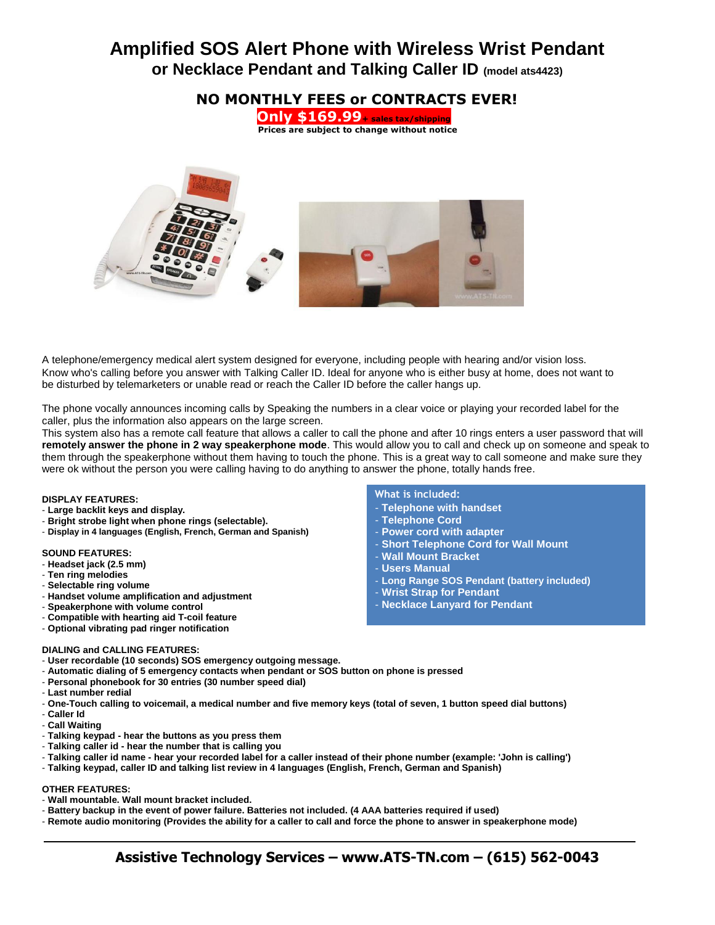# **Amplified SOS Alert Phone with Wireless Wrist Pendant or Necklace Pendant and Talking Caller ID (model ats4423)**



A telephone/emergency medical alert system designed for everyone, including people with hearing and/or vision loss. Know who's calling before you answer with Talking Caller ID. Ideal for anyone who is either busy at home, does not want to be disturbed by telemarketers or unable read or reach the Caller ID before the caller hangs up.

The phone vocally announces incoming calls by Speaking the numbers in a clear voice or playing your recorded label for the caller, plus the information also appears on the large screen.

This system also has a remote call feature that allows a caller to call the phone and after 10 rings enters a user password that will **remotely answer the phone in 2 way speakerphone mode**. This would allow you to call and check up on someone and speak to them through the speakerphone without them having to touch the phone. This is a great way to call someone and make sure they were ok without the person you were calling having to do anything to answer the phone, totally hands free.

### **DISPLAY FEATURES:**

- **Large backlit keys and display.**
- **Bright strobe light when phone rings (selectable).**
- **Display in 4 languages (English, French, German and Spanish)**

## **SOUND FEATURES:**

- **Headset jack (2.5 mm)**
- **Ten ring melodies**
- **Selectable ring volume**
- **Handset volume amplification and adjustment**
- **Speakerphone with volume control**
- **Compatible with hearting aid T-coil feature**
- **Optional vibrating pad ringer notification**

#### **DIALING and CALLING FEATURES:**

- **User recordable (10 seconds) SOS emergency outgoing message.**
- **Automatic dialing of 5 emergency contacts when pendant or SOS button on phone is pressed**
- **Personal phonebook for 30 entries (30 number speed dial)**
- **Last number redial**
- **One-Touch calling to voicemail, a medical number and five memory keys (total of seven, 1 button speed dial buttons)**
- **Caller Id**
- **Call Waiting**
- **Talking keypad - hear the buttons as you press them**
- **Talking caller id - hear the number that is calling you**
- **Talking caller id name - hear your recorded label for a caller instead of their phone number (example: 'John is calling')**
- **Talking keypad, caller ID and talking list review in 4 languages (English, French, German and Spanish)**

#### **OTHER FEATURES:**

- **Wall mountable. Wall mount bracket included.**
- **Battery backup in the event of power failure. Batteries not included. (4 AAA batteries required if used)**
- **Remote audio monitoring (Provides the ability for a caller to call and force the phone to answer in speakerphone mode)**

## **What is included:**

- **Telephone with handset**
- **Telephone Cord**
- **Power cord with adapter**
- **Short Telephone Cord for Wall Mount**
- **Wall Mount Bracket**
- **Users Manual**
- **Long Range SOS Pendant (battery included)**
- **Wrist Strap for Pendant**
- **Necklace Lanyard for Pendant**